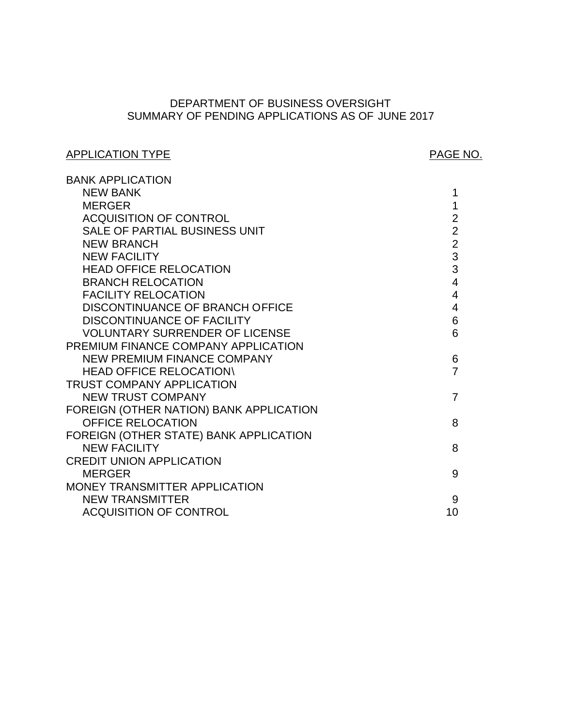# SUMMARY OF PENDING APPLICATIONS AS OF JUNE 2017 DEPARTMENT OF BUSINESS OVERSIGHT

# APPLICATION TYPE APPLICATION TYPE

| <b>BANK APPLICATION</b>                 |                          |
|-----------------------------------------|--------------------------|
| <b>NEW BANK</b>                         | 1                        |
| <b>MERGER</b>                           | 1                        |
| <b>ACQUISITION OF CONTROL</b>           | $\overline{2}$           |
| SALE OF PARTIAL BUSINESS UNIT           | $\overline{2}$           |
| <b>NEW BRANCH</b>                       | $\overline{2}$           |
| <b>NEW FACILITY</b>                     | 3                        |
| <b>HEAD OFFICE RELOCATION</b>           | 3                        |
| <b>BRANCH RELOCATION</b>                | $\overline{4}$           |
| <b>FACILITY RELOCATION</b>              | $\overline{\mathcal{A}}$ |
| DISCONTINUANCE OF BRANCH OFFICE         | 4                        |
| <b>DISCONTINUANCE OF FACILITY</b>       | 6                        |
| <b>VOLUNTARY SURRENDER OF LICENSE</b>   | 6                        |
| PREMIUM FINANCE COMPANY APPLICATION     |                          |
| <b>NEW PREMIUM FINANCE COMPANY</b>      | 6                        |
| <b>HEAD OFFICE RELOCATION\</b>          | 7                        |
| <b>TRUST COMPANY APPLICATION</b>        |                          |
| <b>NEW TRUST COMPANY</b>                | $\overline{7}$           |
| FOREIGN (OTHER NATION) BANK APPLICATION |                          |
| <b>OFFICE RELOCATION</b>                | 8                        |
| FOREIGN (OTHER STATE) BANK APPLICATION  |                          |
| <b>NEW FACILITY</b>                     | 8                        |
| <b>CREDIT UNION APPLICATION</b>         |                          |
| <b>MERGER</b>                           | 9                        |
| MONEY TRANSMITTER APPLICATION           |                          |
| <b>NEW TRANSMITTER</b>                  | 9                        |
| <b>ACQUISITION OF CONTROL</b>           | 10                       |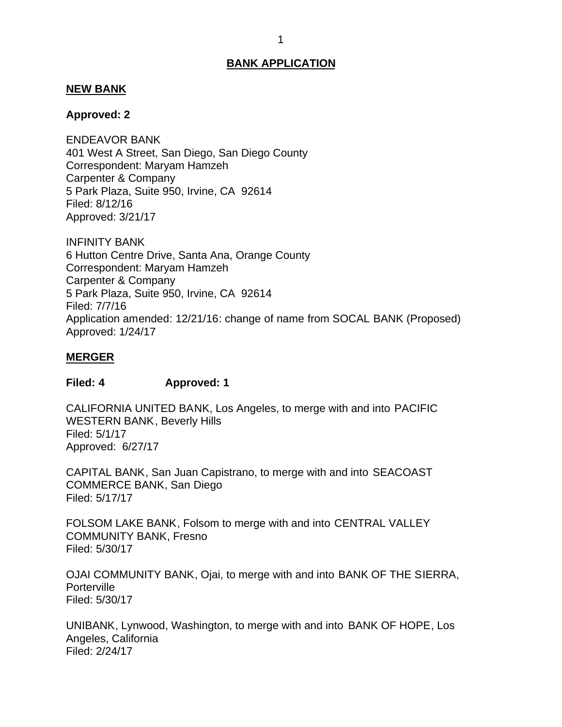#### <span id="page-1-0"></span>**NEW BANK**

#### **Approved: 2**

 401 West A Street, San Diego, San Diego County Correspondent: Maryam Hamzeh Carpenter & Company 5 Park Plaza, Suite 950, Irvine, CA 92614 ENDEAVOR BANK Filed: 8/12/16 Approved: 3/21/17

 6 Hutton Centre Drive, Santa Ana, Orange County Correspondent: Maryam Hamzeh Carpenter & Company 5 Park Plaza, Suite 950, Irvine, CA 92614 INFINITY BANK Filed: 7/7/16 Application amended: 12/21/16: change of name from SOCAL BANK (Proposed) Approved: 1/24/17

#### **MERGER**

#### **Filed: 4 Approved: 1**

 CALIFORNIA UNITED BANK, Los Angeles, to merge with and into PACIFIC WESTERN BANK, Beverly Hills Approved: 6/27/17 Filed: 5/1/17

 CAPITAL BANK, San Juan Capistrano, to merge with and into SEACOAST COMMERCE BANK, San Diego Filed: 5/17/17

 FOLSOM LAKE BANK, Folsom to merge with and into CENTRAL VALLEY COMMUNITY BANK, Fresno Filed: 5/30/17

 OJAI COMMUNITY BANK, Ojai, to merge with and into BANK OF THE SIERRA, **Porterville** Filed: 5/30/17

 UNIBANK, Lynwood, Washington, to merge with and into BANK OF HOPE, Los Angeles, California Filed: 2/24/17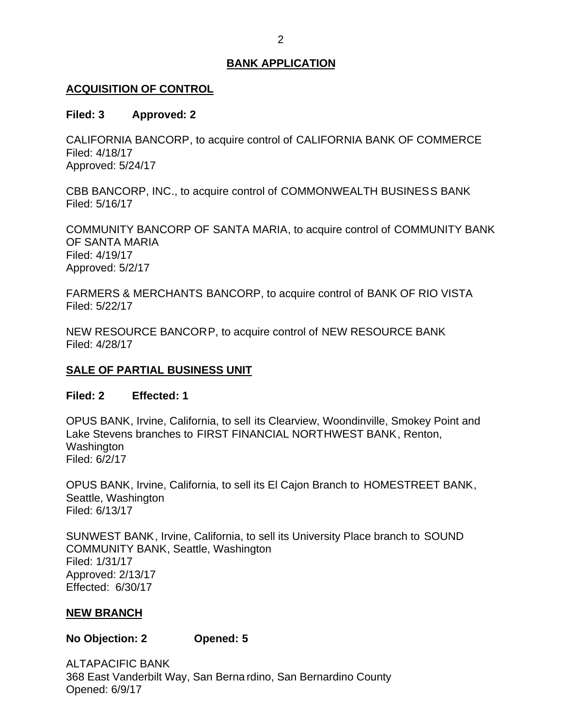## <span id="page-2-0"></span>**ACQUISITION OF CONTROL**

## **Filed: 3 Approved: 2**

 CALIFORNIA BANCORP, to acquire control of CALIFORNIA BANK OF COMMERCE Filed: 4/18/17 Approved: 5/24/17

 CBB BANCORP, INC., to acquire control of COMMONWEALTH BUSINESS BANK Filed: 5/16/17

 COMMUNITY BANCORP OF SANTA MARIA, to acquire control of COMMUNITY BANK OF SANTA MARIA Filed: 4/19/17 Approved: 5/2/17

 FARMERS & MERCHANTS BANCORP, to acquire control of BANK OF RIO VISTA Filed: 5/22/17

 NEW RESOURCE BANCORP, to acquire control of NEW RESOURCE BANK Filed: 4/28/17

## **SALE OF PARTIAL BUSINESS UNIT**

## **Filed: 2 Effected: 1**

 OPUS BANK, Irvine, California, to sell its Clearview, Woondinville, Smokey Point and Lake Stevens branches to FIRST FINANCIAL NORTHWEST BANK, Renton, **Washington** Filed: 6/2/17

 OPUS BANK, Irvine, California, to sell its El Cajon Branch to HOMESTREET BANK, Seattle, Washington Filed: 6/13/17

 SUNWEST BANK, Irvine, California, to sell its University Place branch to SOUND COMMUNITY BANK, Seattle, Washington Effected: 6/30/17 Filed: 1/31/17 Approved: 2/13/17

## **NEW BRANCH**

## **No Objection: 2 Opened: 5**

 368 East Vanderbilt Way, San Berna rdino, San Bernardino County ALTAPACIFIC BANK Opened: 6/9/17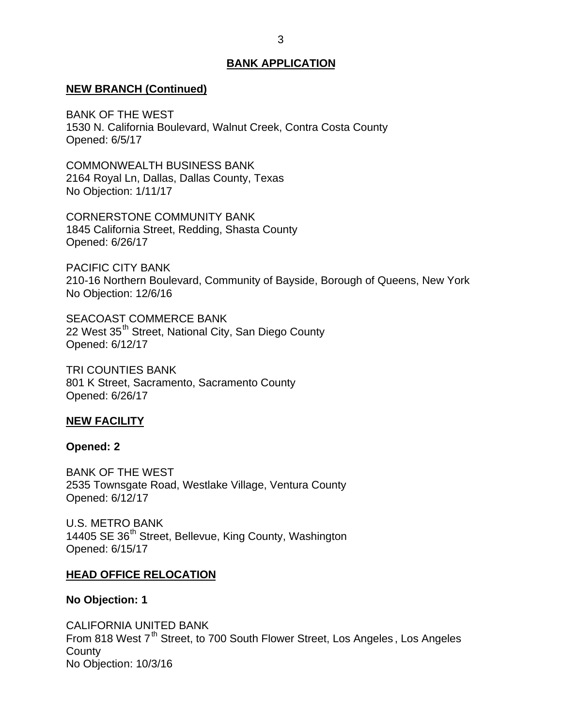#### <span id="page-3-0"></span>**NEW BRANCH (Continued)**

 BANK OF THE WEST 1530 N. California Boulevard, Walnut Creek, Contra Costa County Opened: 6/5/17

 2164 Royal Ln, Dallas, Dallas County, Texas No Objection: 1/11/17 COMMONWEALTH BUSINESS BANK

 1845 California Street, Redding, Shasta County CORNERSTONE COMMUNITY BANK Opened: 6/26/17

 210-16 Northern Boulevard, Community of Bayside, Borough of Queens, New York No Objection: 12/6/16 PACIFIC CITY BANK

22 West 35<sup>th</sup> Street, National City, San Diego County SEACOAST COMMERCE BANK Opened: 6/12/17

 801 K Street, Sacramento, Sacramento County TRI COUNTIES BANK Opened: 6/26/17

## **NEW FACILITY**

#### **Opened: 2**

 BANK OF THE WEST 2535 Townsgate Road, Westlake Village, Ventura County Opened: 6/12/17

14405 SE 36<sup>th</sup> Street, Bellevue, King County, Washington U.S. METRO BANK Opened: 6/15/17

#### **HEAD OFFICE RELOCATION**

#### **No Objection: 1**

From 818 West 7<sup>th</sup> Street, to 700 South Flower Street, Los Angeles, Los Angeles CALIFORNIA UNITED BANK **County** No Objection: 10/3/16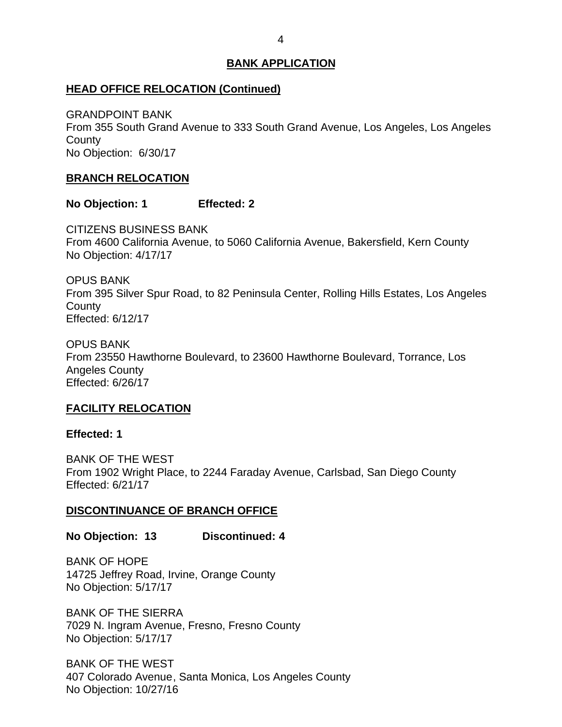## <span id="page-4-0"></span>**HEAD OFFICE RELOCATION (Continued)**

 From 355 South Grand Avenue to 333 South Grand Avenue, Los Angeles, Los Angeles No Objection: 6/30/17 GRANDPOINT BANK **County** 

## **BRANCH RELOCATION**

**No Objection: 1 Effected: 2** 

 From 4600 California Avenue, to 5060 California Avenue, Bakersfield, Kern County No Objection: 4/17/17 CITIZENS BUSINESS BANK

 From 395 Silver Spur Road, to 82 Peninsula Center, Rolling Hills Estates, Los Angeles OPUS BANK **County** Effected: 6/12/17

 From 23550 Hawthorne Boulevard, to 23600 Hawthorne Boulevard, Torrance, Los OPUS BANK Angeles County Effected: 6/26/17

## **FACILITY RELOCATION**

**Effected: 1** 

 BANK OF THE WEST From 1902 Wright Place, to 2244 Faraday Avenue, Carlsbad, San Diego County Effected: 6/21/17

## **DISCONTINUANCE OF BRANCH OFFICE**

**No Objection: 13 Discontinued: 4** 

 14725 Jeffrey Road, Irvine, Orange County No Objection: 5/17/17 BANK OF HOPE

 BANK OF THE SIERRA 7029 N. Ingram Avenue, Fresno, Fresno County No Objection: 5/17/17

 BANK OF THE WEST 407 Colorado Avenue, Santa Monica, Los Angeles County No Objection: 10/27/16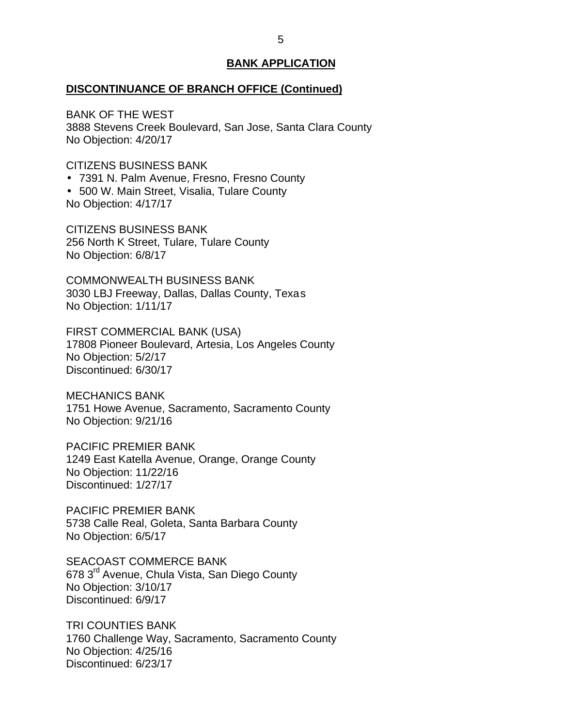## **DISCONTINUANCE OF BRANCH OFFICE (Continued)**

 BANK OF THE WEST 3888 Stevens Creek Boulevard, San Jose, Santa Clara County No Objection: 4/20/17

CITIZENS BUSINESS BANK

- 7391 N. Palm Avenue, Fresno, Fresno County
- 500 W. Main Street, Visalia, Tulare County

No Objection: 4/17/17

 256 North K Street, Tulare, Tulare County No Objection: 6/8/17 CITIZENS BUSINESS BANK

 3030 LBJ Freeway, Dallas, Dallas County, Texas No Objection: 1/11/17 COMMONWEALTH BUSINESS BANK

 FIRST COMMERCIAL BANK (USA) 17808 Pioneer Boulevard, Artesia, Los Angeles County No Objection: 5/2/17 Discontinued: 6/30/17

 1751 Howe Avenue, Sacramento, Sacramento County No Objection: 9/21/16 MECHANICS BANK

 PACIFIC PREMIER BANK 1249 East Katella Avenue, Orange, Orange County No Objection: 11/22/16 Discontinued: 1/27/17

 PACIFIC PREMIER BANK 5738 Calle Real, Goleta, Santa Barbara County No Objection: 6/5/17

678 3<sup>rd</sup> Avenue, Chula Vista, San Diego County SEACOAST COMMERCE BANK No Objection: 3/10/17 Discontinued: 6/9/17

 1760 Challenge Way, Sacramento, Sacramento County No Objection: 4/25/16 TRI COUNTIES BANK Discontinued: 6/23/17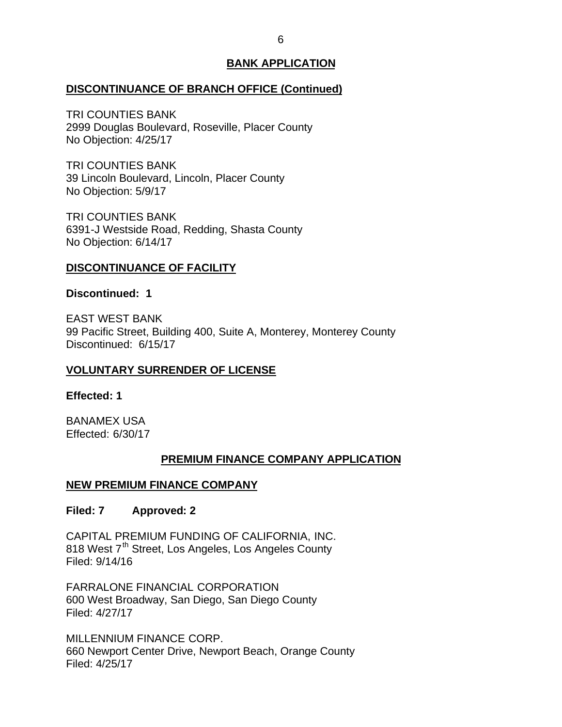## <span id="page-6-0"></span>**DISCONTINUANCE OF BRANCH OFFICE (Continued)**

 2999 Douglas Boulevard, Roseville, Placer County No Objection: 4/25/17 TRI COUNTIES BANK

 39 Lincoln Boulevard, Lincoln, Placer County No Objection: 5/9/17 TRI COUNTIES BANK

 6391-J Westside Road, Redding, Shasta County No Objection: 6/14/17 TRI COUNTIES BANK

## **DISCONTINUANCE OF FACILITY**

## **Discontinued: 1**

 EAST WEST BANK 99 Pacific Street, Building 400, Suite A, Monterey, Monterey County Discontinued: 6/15/17

## **VOLUNTARY SURRENDER OF LICENSE**

## **Effected: 1**

BANAMEX USA Effected: 6/30/17

# **PREMIUM FINANCE COMPANY APPLICATION**

# **NEW PREMIUM FINANCE COMPANY**

## **Filed: 7 Approved: 2**

 CAPITAL PREMIUM FUNDING OF CALIFORNIA, INC. 818 West 7<sup>th</sup> Street, Los Angeles, Los Angeles County Filed: 9/14/16

 600 West Broadway, San Diego, San Diego County FARRALONE FINANCIAL CORPORATION Filed: 4/27/17

 660 Newport Center Drive, Newport Beach, Orange County MILLENNIUM FINANCE CORP. Filed: 4/25/17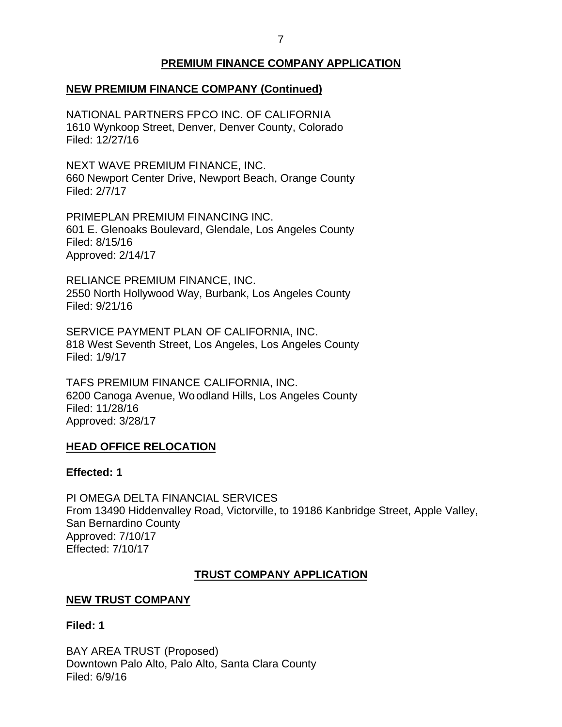# **PREMIUM FINANCE COMPANY APPLICATION**

# <span id="page-7-0"></span> **NEW PREMIUM FINANCE COMPANY (Continued)**

 NATIONAL PARTNERS FPCO INC. OF CALIFORNIA 1610 Wynkoop Street, Denver, Denver County, Colorado Filed: 12/27/16

 NEXT WAVE PREMIUM FINANCE, INC. 660 Newport Center Drive, Newport Beach, Orange County Filed: 2/7/17

 601 E. Glenoaks Boulevard, Glendale, Los Angeles County PRIMEPLAN PREMIUM FINANCING INC. Filed: 8/15/16 Approved: 2/14/17

 RELIANCE PREMIUM FINANCE, INC. 2550 North Hollywood Way, Burbank, Los Angeles County Filed: 9/21/16

 SERVICE PAYMENT PLAN OF CALIFORNIA, INC. 818 West Seventh Street, Los Angeles, Los Angeles County Filed: 1/9/17

 TAFS PREMIUM FINANCE CALIFORNIA, INC. 6200 Canoga Avenue, Woodland Hills, Los Angeles County Filed: 11/28/16 Approved: 3/28/17

## **HEAD OFFICE RELOCATION**

## **Effected: 1**

 PI OMEGA DELTA FINANCIAL SERVICES From 13490 Hiddenvalley Road, Victorville, to 19186 Kanbridge Street, Apple Valley, San Bernardino County Approved: 7/10/17 Effected: 7/10/17

## **TRUST COMPANY APPLICATION**

## **NEW TRUST COMPANY**

**Filed: 1** 

 BAY AREA TRUST (Proposed) Downtown Palo Alto, Palo Alto, Santa Clara County Filed: 6/9/16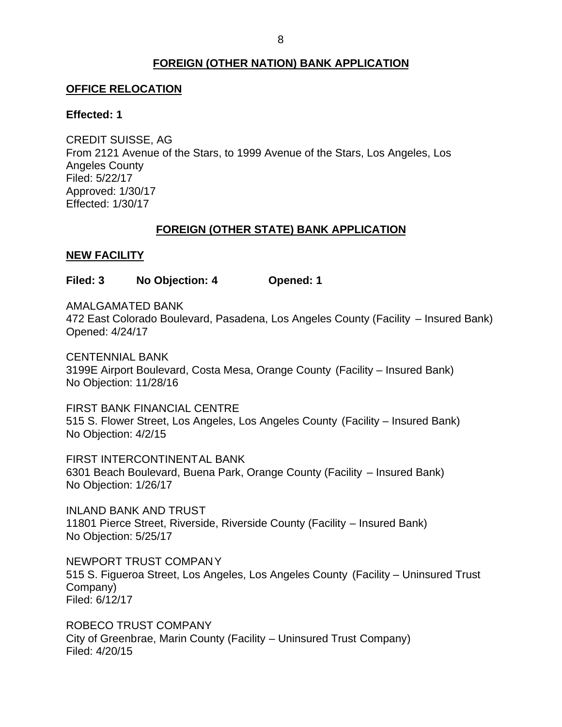## **FOREIGN (OTHER NATION) BANK APPLICATION**

#### <span id="page-8-0"></span>**OFFICE RELOCATION**

#### **Effected: 1**

 From 2121 Avenue of the Stars, to 1999 Avenue of the Stars, Los Angeles, Los CREDIT SUISSE, AG Angeles County Filed: 5/22/17 Approved: 1/30/17 Effected: 1/30/17

#### **FOREIGN (OTHER STATE) BANK APPLICATION**

#### **NEW FACILITY**

**Filed: 3 No Objection: 4 Opened: 1** 

AMALGAMATED BANK

 472 East Colorado Boulevard, Pasadena, Los Angeles County (Facility – Insured Bank) Opened: 4/24/17

 3199E Airport Boulevard, Costa Mesa, Orange County (Facility – Insured Bank) No Objection: 11/28/16 CENTENNIAL BANK

 FIRST BANK FINANCIAL CENTRE 515 S. Flower Street, Los Angeles, Los Angeles County (Facility – Insured Bank) No Objection: 4/2/15

 6301 Beach Boulevard, Buena Park, Orange County (Facility – Insured Bank) No Objection: 1/26/17 FIRST INTERCONTINENTAL BANK

 11801 Pierce Street, Riverside, Riverside County (Facility – Insured Bank) No Objection: 5/25/17 INLAND BANK AND TRUST

 NEWPORT TRUST COMPANY 515 S. Figueroa Street, Los Angeles, Los Angeles County (Facility – Uninsured Trust Company) Filed: 6/12/17

 ROBECO TRUST COMPANY City of Greenbrae, Marin County (Facility – Uninsured Trust Company) Filed: 4/20/15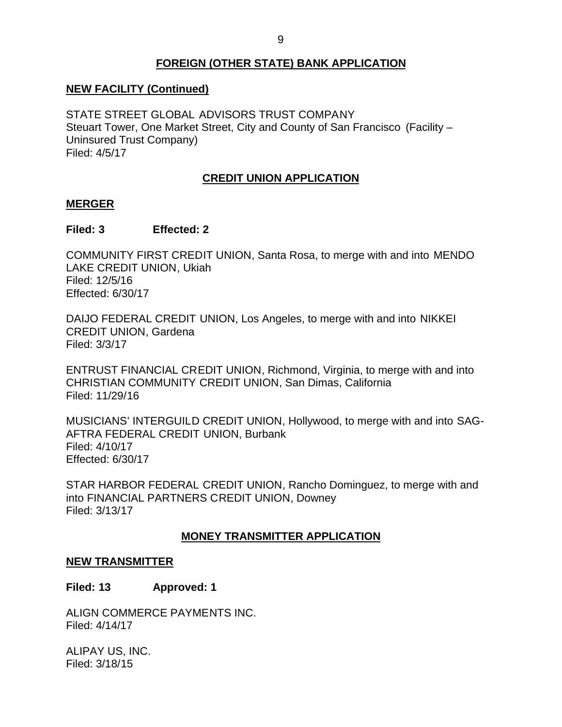# **FOREIGN (OTHER STATE) BANK APPLICATION**

# <span id="page-9-0"></span> **NEW FACILITY (Continued)**

 STATE STREET GLOBAL ADVISORS TRUST COMPANY Steuart Tower, One Market Street, City and County of San Francisco (Facility – Uninsured Trust Company) Filed: 4/5/17

## **CREDIT UNION APPLICATION**

## **MERGER**

## **Filed: 3 Effected: 2**

 COMMUNITY FIRST CREDIT UNION, Santa Rosa, to merge with and into MENDO LAKE CREDIT UNION, Ukiah Filed: 12/5/16 Effected: 6/30/17

 DAIJO FEDERAL CREDIT UNION, Los Angeles, to merge with and into NIKKEI CREDIT UNION, Gardena Filed: 3/3/17

 ENTRUST FINANCIAL CREDIT UNION, Richmond, Virginia, to merge with and into CHRISTIAN COMMUNITY CREDIT UNION, San Dimas, California Filed: 11/29/16

 MUSICIANS' INTERGUILD CREDIT UNION, Hollywood, to merge with and into SAG- AFTRA FEDERAL CREDIT UNION, Burbank Filed: 4/10/17 Effected: 6/30/17

 STAR HARBOR FEDERAL CREDIT UNION, Rancho Dominguez, to merge with and into FINANCIAL PARTNERS CREDIT UNION, Downey Filed: 3/13/17

## **MONEY TRANSMITTER APPLICATION**

#### **NEW TRANSMITTER**

**Filed: 13 Approved: 1** 

ALIGN COMMERCE PAYMENTS INC. Filed: 4/14/17

 ALIPAY US, INC. Filed: 3/18/15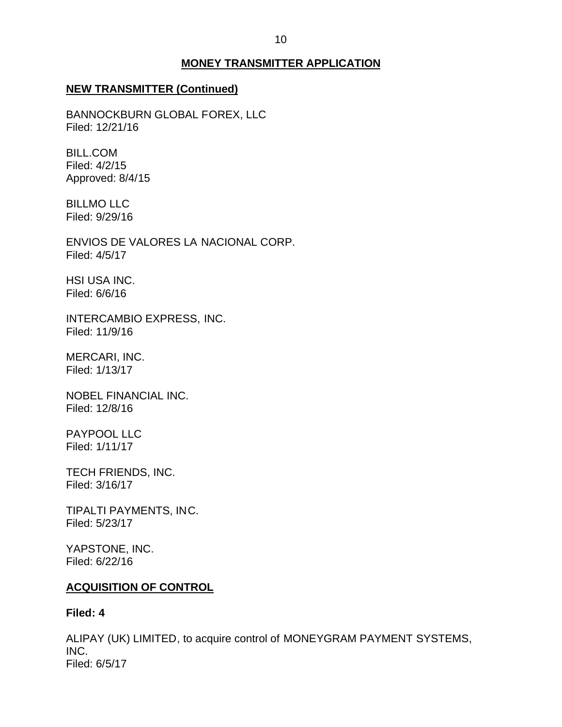#### **MONEY TRANSMITTER APPLICATION**

#### <span id="page-10-0"></span>**NEW TRANSMITTER (Continued)**

BANNOCKBURN GLOBAL FOREX, LLC Filed: 12/21/16

BILL.COM Filed: 4/2/15 Approved: 8/4/15

BILLMO LLC Filed: 9/29/16

 ENVIOS DE VALORES LA NACIONAL CORP. Filed: 4/5/17

HSI USA INC. Filed: 6/6/16

INTERCAMBIO EXPRESS, INC. Filed: 11/9/16

MERCARI, INC. Filed: 1/13/17

NOBEL FINANCIAL INC. Filed: 12/8/16

PAYPOOL LLC Filed: 1/11/17

TECH FRIENDS, INC. Filed: 3/16/17

TIPALTI PAYMENTS, INC. Filed: 5/23/17

YAPSTONE, INC. Filed: 6/22/16

#### **ACQUISITION OF CONTROL**

#### **Filed: 4**

 ALIPAY (UK) LIMITED, to acquire control of MONEYGRAM PAYMENT SYSTEMS, INC. Filed: 6/5/17